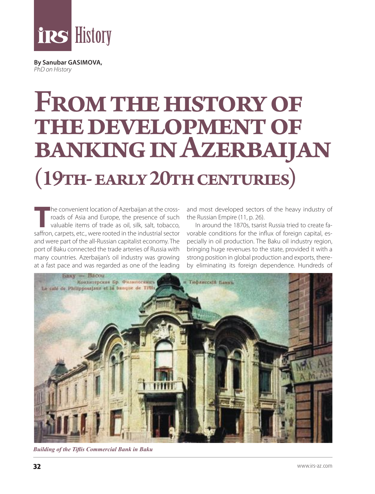

**By Sanubar GASIMOVA,** *PhD on History*

## FROM THE HISTORY OF the development of banking in Azerbaijan (19th- early 20th centuries)

**T**he convenient location of Azerbaijan at the crossroads of Asia and Europe, the presence of such valuable items of trade as oil, silk, salt, tobacco, saffron, carpets, etc., were rooted in the industrial sector and were part of the all-Russian capitalist economy. The port of Baku connected the trade arteries of Russia with many countries. Azerbaijan's oil industry was growing at a fast pace and was regarded as one of the leading and most developed sectors of the heavy industry of the Russian Empire (11, p. 26).

In around the 1870s, tsarist Russia tried to create favorable conditions for the influx of foreign capital, especially in oil production. The Baku oil industry region, bringing huge revenues to the state, provided it with a strong position in global production and exports, thereby eliminating its foreign dependence. Hundreds of



*Building of the Tiflis Commercial Bank in Baku*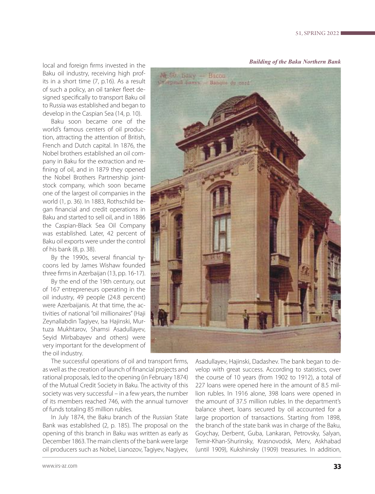local and foreign firms invested in the Baku oil industry, receiving high profits in a short time (7, p.16). As a result of such a policy, an oil tanker fleet designed specifically to transport Baku oil to Russia was established and began to develop in the Caspian Sea (14, p. 10).

Baku soon became one of the world's famous centers of oil production, attracting the attention of British, French and Dutch capital. In 1876, the Nobel brothers established an oil company in Baku for the extraction and refining of oil, and in 1879 they opened the Nobel Brothers Partnership jointstock company, which soon became one of the largest oil companies in the world (1, p. 36). In 1883, Rothschild began financial and credit operations in Baku and started to sell oil, and in 1886 the Caspian-Black Sea Oil Company was established. Later, 42 percent of Baku oil exports were under the control of his bank (8, p. 38).

By the 1990s, several financial tycoons led by James Wishaw founded three firms in Azerbaijan (13, pp. 16-17).

By the end of the 19th century, out of 167 entrepreneurs operating in the oil industry, 49 people (24.8 percent) were Azerbaijanis. At that time, the activities of national "oil millionaires" (Haji Zeynallabdin Tagiyev, Isa Hajinski, Murtuza Mukhtarov, Shamsi Asadullayev, Seyid Mirbabayev and others) were very important for the development of the oil industry.

The successful operations of oil and transport firms, as well as the creation of launch of financial projects and rational proposals, led to the opening (in February 1874) of the Mutual Credit Society in Baku. The activity of this society was very successful – in a few years, the number of its members reached 746, with the annual turnover of funds totaling 85 million rubles.

In July 1874, the Baku branch of the Russian State Bank was established (2, p. 185). The proposal on the opening of this branch in Baku was written as early as December 1863. The main clients of the bank were large oil producers such as Nobel, Lianozov, Tagiyev, Nagiyev,

Asadullayev, Hajinski, Dadashev. The bank began to de-

velop with great success. According to statistics, over the course of 10 years (from 1902 to 1912), a total of 227 loans were opened here in the amount of 8.5 million rubles. In 1916 alone, 398 loans were opened in the amount of 37.5 million rubles. In the department's balance sheet, loans secured by oil accounted for a large proportion of transactions. Starting from 1898, the branch of the state bank was in charge of the Baku, Goychay, Derbent, Guba, Lankaran, Petrovsky, Salyan, Temir-Khan-Shurinsky, Krasnovodsk, Merv, Askhabad (until 1909), Kukshinsky (1909) treasuries. In addition,

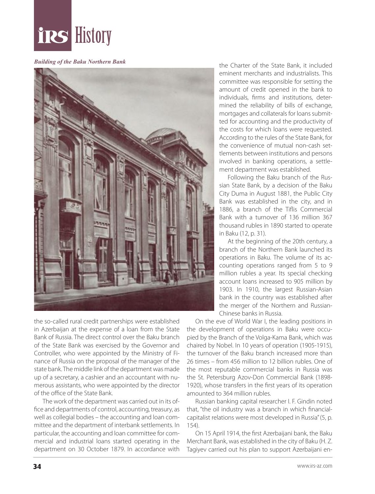

*Building of the Baku Northern Bank*



the so-called rural credit partnerships were established in Azerbaijan at the expense of a loan from the State Bank of Russia. The direct control over the Baku branch of the State Bank was exercised by the Governor and Controller, who were appointed by the Ministry of Finance of Russia on the proposal of the manager of the state bank. The middle link of the department was made up of a secretary, a cashier and an accountant with numerous assistants, who were appointed by the director of the office of the State Bank.

The work of the department was carried out in its office and departments of control, accounting, treasury, as well as collegial bodies – the accounting and loan committee and the department of interbank settlements. In particular, the accounting and loan committee for commercial and industrial loans started operating in the department on 30 October 1879. In accordance with the Charter of the State Bank, it included eminent merchants and industrialists. This committee was responsible for setting the amount of credit opened in the bank to individuals, firms and institutions, determined the reliability of bills of exchange, mortgages and collaterals for loans submitted for accounting and the productivity of the costs for which loans were requested. According to the rules of the State Bank, for the convenience of mutual non-cash settlements between institutions and persons involved in banking operations, a settlement department was established.

Following the Baku branch of the Russian State Bank, by a decision of the Baku City Duma in August 1881, the Public City Bank was established in the city, and in 1886, a branch of the Tiflis Commercial Bank with a turnover of 136 million 367 thousand rubles in 1890 started to operate in Baku (12, p. 31).

At the beginning of the 20th century, a branch of the Northern Bank launched its operations in Baku. The volume of its accounting operations ranged from 5 to 9 million rubles a year. Its special checking account loans increased to 905 million by 1903. In 1910, the largest Russian-Asian bank in the country was established after the merger of the Northern and Russian-Chinese banks in Russia.

On the eve of World War I, the leading positions in the development of operations in Baku were occupied by the Branch of the Volga-Kama Bank, which was chaired by Nobel. In 10 years of operation (1905-1915), the turnover of the Baku branch increased more than 26 times – from 456 million to 12 billion rubles. One of the most reputable commercial banks in Russia was the St. Petersburg Azov-Don Commercial Bank (1898- 1920), whose transfers in the first years of its operation amounted to 364 million rubles.

Russian banking capital researcher I. F. Gindin noted that, "the oil industry was a branch in which financialcapitalist relations were most developed in Russia" (5, p. 154).

On 15 April 1914, the first Azerbaijani bank, the Baku Merchant Bank, was established in the city of Baku (H. Z. Tagiyev carried out his plan to support Azerbaijani en-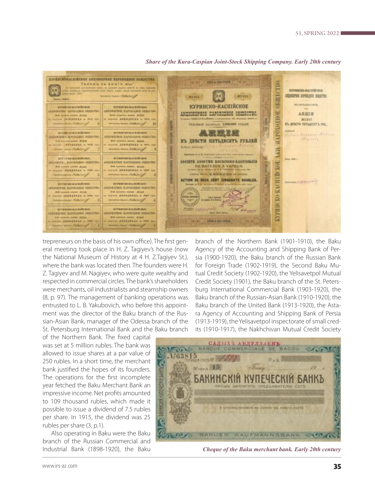

*Share of the Kura-Caspian Joint-Stock Shipping Company. Early 20th century*

trepreneurs on the basis of his own office). The first general meeting took place in H. Z. Tagiyev's house (now the National Museum of History at 4 H. Z.Tagiyev St.), where the bank was located then. The founders were H. Z. Tagiyev and M. Nagiyev, who were quite wealthy and respected in commercial circles. The bank's shareholders were merchants, oil industrialists and steamship owners (8, p. 97). The management of banking operations was entrusted to L. B. Yakubovich, who before this appointment was the director of the Baku branch of the Russian-Asian Bank, manager of the Odessa branch of the St. Petersburg International Bank and the Baku branch

of the Northern Bank. The fixed capital was set at 5 million rubles. The bank was allowed to issue shares at a par value of 250 rubles. In a short time, the merchant bank justified the hopes of its founders. The operations for the first incomplete year fetched the Baku Merchant Bank an impressive income. Net profits amounted to 109 thousand rubles, which made it possible to issue a dividend of 7.5 rubles per share. In 1915, the dividend was 25 rubles per share (3, p.1).

Also operating in Baku were the Baku branch of the Russian Commercial and Industrial Bank (1898-1920), the Baku

branch of the Northern Bank (1901-1910), the Baku Agency of the Accounting and Shipping Bank of Persia (1900-1920), the Baku branch of the Russian Bank for Foreign Trade (1902-1919), the Second Baku Mutual Credit Society (1902-1920), the Yelisavetpol Mutual Credit Society (1901), the Baku branch of the St. Petersburg International Commercial Bank (1903-1920), the Baku branch of the Russian-Asian Bank (1910-1920), the Baku branch of the United Bank (1913-1920), the Astara Agency of Accounting and Shipping Bank of Persia (1913-1919), the Yelisavetpol inspectorate of small credits (1910-1917), the Nakhchivan Mutual Credit Society



*Cheque of the Baku merchant bank. Early 20th century*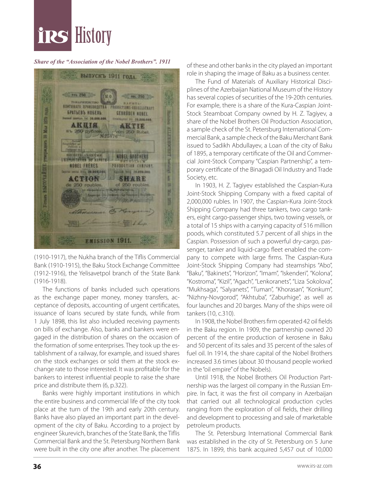## **ins History**

*Share of the "Association of the Nobel Brothers". 1911*



(1910-1917), the Nukha branch of the Tiflis Commercial Bank (1910-1915), the Baku Stock Exchange Committee (1912-1916), the Yelisavetpol branch of the State Bank (1916-1918).

The functions of banks included such operations as the exchange paper money, money transfers, acceptance of deposits, accounting of urgent certificates, issuance of loans secured by state funds, while from 1 July 1898, this list also included receiving payments on bills of exchange. Also, banks and bankers were engaged in the distribution of shares on the occasion of the formation of some enterprises. They took up the establishment of a railway, for example, and issued shares on the stock exchanges or sold them at the stock exchange rate to those interested. It was profitable for the bankers to interest influential people to raise the share price and distribute them (6, p.322).

Banks were highly important institutions in which the entire business and commercial life of the city took place at the turn of the 19th and early 20th century. Banks have also played an important part in the development of the city of Baku. According to a project by engineer Skurevich, branches of the State Bank, the Tiflis Commercial Bank and the St. Petersburg Northern Bank were built in the city one after another. The placement

of these and other banks in the city played an important role in shaping the image of Baku as a business center.

The Fund of Materials of Auxiliary Historical Disciplines of the Azerbaijan National Museum of the History has several copies of securities of the 19-20th centuries. For example, there is a share of the Kura-Caspian Joint-Stock Steamboat Company owned by H. Z. Tagiyev, a share of the Nobel Brothers Oil Production Association, a sample check of the St. Petersburg International Commercial Bank, a sample check of the Baku Merchant Bank issued to Sadikh Abdullayev, a Loan of the city of Baku of 1895, a temporary certificate of the Oil and Commercial Joint-Stock Company "Caspian Partnership", a temporary certificate of the Binagadi Oil Industry and Trade Society, etc.

In 1903, H. Z. Tagiyev established the Caspian-Kura Joint-Stock Shipping Company with a fixed capital of 2,000,000 rubles. In 1907, the Caspian-Kura Joint-Stock Shipping Company had three tankers, two cargo tankers, eight cargo-passenger ships, two towing vessels, or a total of 15 ships with a carrying capacity of 516 million poods, which constituted 5.7 percent of all ships in the Caspian. Possession of such a powerful dry-cargo, passenger, tanker and liquid-cargo fleet enabled the company to compete with large firms. The Caspian-Kura Joint-Stock Shipping Company had steamships "Abo", "Baku", "Bakinets", "Horizon", "Imam", "Iskenderi", "Kolona", "Kostroma", "Kizil", "Agach", "Lenkoranets", "Liza Sokolova", "Mukhsaga", "Salyanets", "Tuman", "Khorasan", "Konkum", "Nizhny-Novgorod", "Akhtuba", "Zaburhige", as well as four launches and 20 barges. Many of the ships were oil tankers (10, c.310).

In 1908, the Nobel Brothers firm operated 42 oil fields in the Baku region. In 1909, the partnership owned 20 percent of the entire production of kerosene in Baku and 50 percent of its sales and 35 percent of the sales of fuel oil. In 1914, the share capital of the Nobel Brothers increased 3.6 times (about 30 thousand people worked in the "oil empire" of the Nobels).

Until 1918, the Nobel Brothers Oil Production Partnership was the largest oil company in the Russian Empire. In fact, it was the first oil company in Azerbaijan that carried out all technological production cycles ranging from the exploration of oil fields, their drilling and development to processing and sale of marketable petroleum products.

The St. Petersburg International Commercial Bank was established in the city of St. Petersburg on 5 June 1875. In 1899, this bank acquired 5,457 out of 10,000